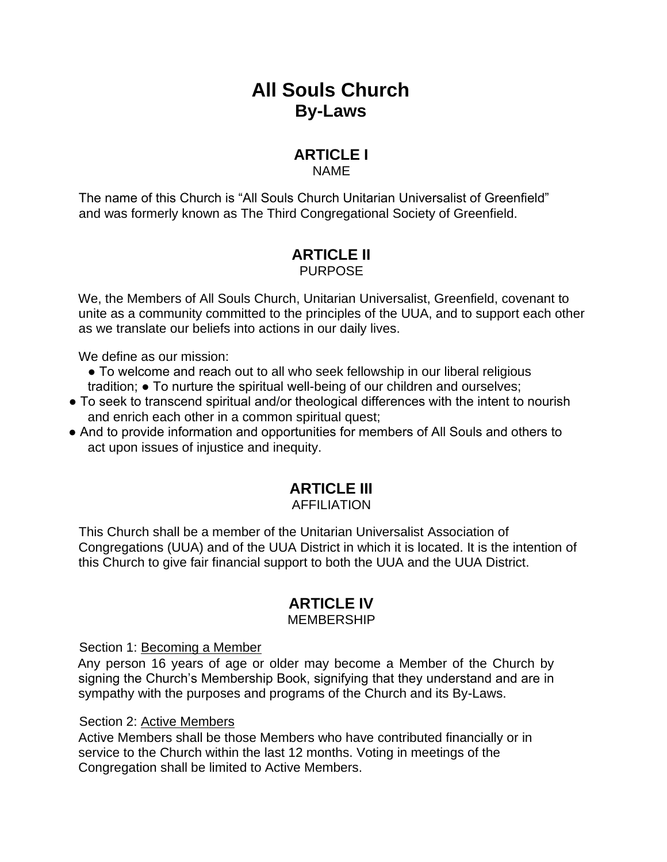## **All Souls Church By-Laws**

### **ARTICLE I**

NAME

The name of this Church is "All Souls Church Unitarian Universalist of Greenfield" and was formerly known as The Third Congregational Society of Greenfield.

#### **ARTICLE II** PURPOSE

We, the Members of All Souls Church, Unitarian Universalist, Greenfield, covenant to unite as a community committed to the principles of the UUA, and to support each other as we translate our beliefs into actions in our daily lives.

We define as our mission:

- To welcome and reach out to all who seek fellowship in our liberal religious tradition; ● To nurture the spiritual well-being of our children and ourselves;
- To seek to transcend spiritual and/or theological differences with the intent to nourish and enrich each other in a common spiritual quest;
- And to provide information and opportunities for members of All Souls and others to act upon issues of injustice and inequity.

# **ARTICLE III**

### AFFILIATION

This Church shall be a member of the Unitarian Universalist Association of Congregations (UUA) and of the UUA District in which it is located. It is the intention of this Church to give fair financial support to both the UUA and the UUA District.

### **ARTICLE IV**

#### MEMBERSHIP

Section 1: Becoming a Member

Any person 16 years of age or older may become a Member of the Church by signing the Church's Membership Book, signifying that they understand and are in sympathy with the purposes and programs of the Church and its By-Laws.

#### Section 2: Active Members

Active Members shall be those Members who have contributed financially or in service to the Church within the last 12 months. Voting in meetings of the Congregation shall be limited to Active Members.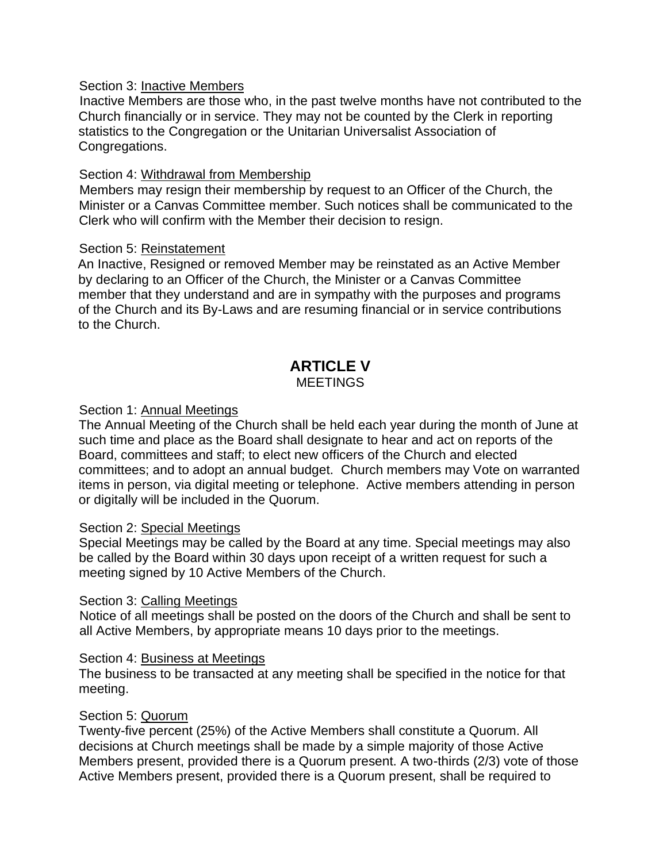#### Section 3: Inactive Members

Inactive Members are those who, in the past twelve months have not contributed to the Church financially or in service. They may not be counted by the Clerk in reporting statistics to the Congregation or the Unitarian Universalist Association of Congregations.

#### Section 4: Withdrawal from Membership

Members may resign their membership by request to an Officer of the Church, the Minister or a Canvas Committee member. Such notices shall be communicated to the Clerk who will confirm with the Member their decision to resign.

#### Section 5: Reinstatement

An Inactive, Resigned or removed Member may be reinstated as an Active Member by declaring to an Officer of the Church, the Minister or a Canvas Committee member that they understand and are in sympathy with the purposes and programs of the Church and its By-Laws and are resuming financial or in service contributions to the Church.

## **ARTICLE V**

#### MEETINGS

#### Section 1: Annual Meetings

The Annual Meeting of the Church shall be held each year during the month of June at such time and place as the Board shall designate to hear and act on reports of the Board, committees and staff; to elect new officers of the Church and elected committees; and to adopt an annual budget. Church members may Vote on warranted items in person, via digital meeting or telephone. Active members attending in person or digitally will be included in the Quorum.

#### Section 2: Special Meetings

Special Meetings may be called by the Board at any time. Special meetings may also be called by the Board within 30 days upon receipt of a written request for such a meeting signed by 10 Active Members of the Church.

#### Section 3: Calling Meetings

Notice of all meetings shall be posted on the doors of the Church and shall be sent to all Active Members, by appropriate means 10 days prior to the meetings.

#### Section 4: Business at Meetings

The business to be transacted at any meeting shall be specified in the notice for that meeting.

#### Section 5: Quorum

Twenty-five percent (25%) of the Active Members shall constitute a Quorum. All decisions at Church meetings shall be made by a simple majority of those Active Members present, provided there is a Quorum present. A two-thirds (2/3) vote of those Active Members present, provided there is a Quorum present, shall be required to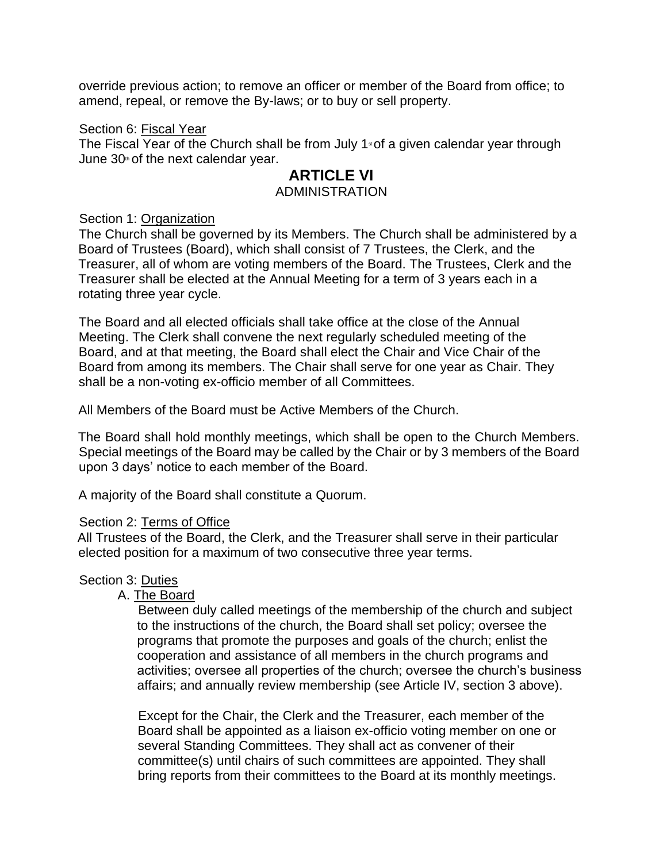override previous action; to remove an officer or member of the Board from office; to amend, repeal, or remove the By-laws; or to buy or sell property.

#### Section 6: Fiscal Year

The Fiscal Year of the Church shall be from July  $1*$  of a given calendar year through June  $30<sup>th</sup>$  of the next calendar year.

#### **ARTICLE VI** ADMINISTRATION

#### Section 1: Organization

The Church shall be governed by its Members. The Church shall be administered by a Board of Trustees (Board), which shall consist of 7 Trustees, the Clerk, and the Treasurer, all of whom are voting members of the Board. The Trustees, Clerk and the Treasurer shall be elected at the Annual Meeting for a term of 3 years each in a rotating three year cycle.

The Board and all elected officials shall take office at the close of the Annual Meeting. The Clerk shall convene the next regularly scheduled meeting of the Board, and at that meeting, the Board shall elect the Chair and Vice Chair of the Board from among its members. The Chair shall serve for one year as Chair. They shall be a non-voting ex-officio member of all Committees.

All Members of the Board must be Active Members of the Church.

The Board shall hold monthly meetings, which shall be open to the Church Members. Special meetings of the Board may be called by the Chair or by 3 members of the Board upon 3 days' notice to each member of the Board.

A majority of the Board shall constitute a Quorum.

#### Section 2: Terms of Office

All Trustees of the Board, the Clerk, and the Treasurer shall serve in their particular elected position for a maximum of two consecutive three year terms.

#### Section 3: Duties

#### A. The Board

Between duly called meetings of the membership of the church and subject to the instructions of the church, the Board shall set policy; oversee the programs that promote the purposes and goals of the church; enlist the cooperation and assistance of all members in the church programs and activities; oversee all properties of the church; oversee the church's business affairs; and annually review membership (see Article IV, section 3 above).

Except for the Chair, the Clerk and the Treasurer, each member of the Board shall be appointed as a liaison ex-officio voting member on one or several Standing Committees. They shall act as convener of their committee(s) until chairs of such committees are appointed. They shall bring reports from their committees to the Board at its monthly meetings.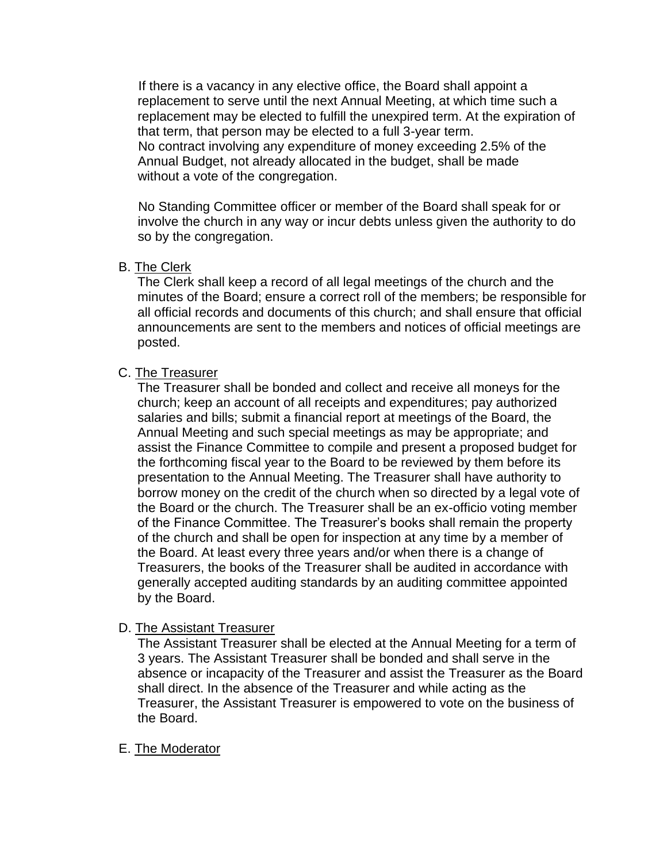If there is a vacancy in any elective office, the Board shall appoint a replacement to serve until the next Annual Meeting, at which time such a replacement may be elected to fulfill the unexpired term. At the expiration of that term, that person may be elected to a full 3-year term. No contract involving any expenditure of money exceeding 2.5% of the Annual Budget, not already allocated in the budget, shall be made without a vote of the congregation.

No Standing Committee officer or member of the Board shall speak for or involve the church in any way or incur debts unless given the authority to do so by the congregation.

#### B. The Clerk

The Clerk shall keep a record of all legal meetings of the church and the minutes of the Board; ensure a correct roll of the members; be responsible for all official records and documents of this church; and shall ensure that official announcements are sent to the members and notices of official meetings are posted.

#### C. The Treasurer

The Treasurer shall be bonded and collect and receive all moneys for the church; keep an account of all receipts and expenditures; pay authorized salaries and bills; submit a financial report at meetings of the Board, the Annual Meeting and such special meetings as may be appropriate; and assist the Finance Committee to compile and present a proposed budget for the forthcoming fiscal year to the Board to be reviewed by them before its presentation to the Annual Meeting. The Treasurer shall have authority to borrow money on the credit of the church when so directed by a legal vote of the Board or the church. The Treasurer shall be an ex-officio voting member of the Finance Committee. The Treasurer's books shall remain the property of the church and shall be open for inspection at any time by a member of the Board. At least every three years and/or when there is a change of Treasurers, the books of the Treasurer shall be audited in accordance with generally accepted auditing standards by an auditing committee appointed by the Board.

#### D. The Assistant Treasurer

The Assistant Treasurer shall be elected at the Annual Meeting for a term of 3 years. The Assistant Treasurer shall be bonded and shall serve in the absence or incapacity of the Treasurer and assist the Treasurer as the Board shall direct. In the absence of the Treasurer and while acting as the Treasurer, the Assistant Treasurer is empowered to vote on the business of the Board.

#### E. The Moderator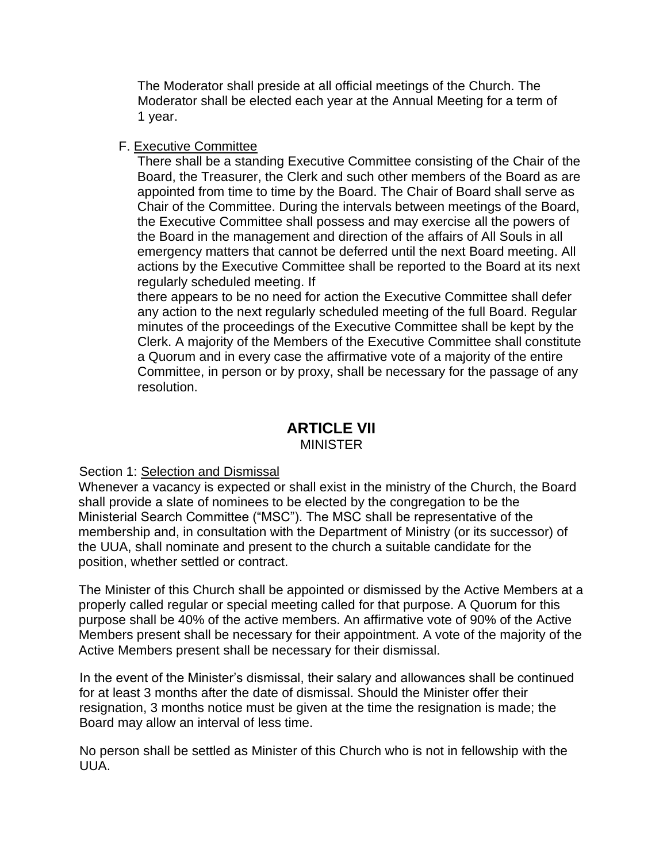The Moderator shall preside at all official meetings of the Church. The Moderator shall be elected each year at the Annual Meeting for a term of 1 year.

#### F. Executive Committee

There shall be a standing Executive Committee consisting of the Chair of the Board, the Treasurer, the Clerk and such other members of the Board as are appointed from time to time by the Board. The Chair of Board shall serve as Chair of the Committee. During the intervals between meetings of the Board, the Executive Committee shall possess and may exercise all the powers of the Board in the management and direction of the affairs of All Souls in all emergency matters that cannot be deferred until the next Board meeting. All actions by the Executive Committee shall be reported to the Board at its next regularly scheduled meeting. If

there appears to be no need for action the Executive Committee shall defer any action to the next regularly scheduled meeting of the full Board. Regular minutes of the proceedings of the Executive Committee shall be kept by the Clerk. A majority of the Members of the Executive Committee shall constitute a Quorum and in every case the affirmative vote of a majority of the entire Committee, in person or by proxy, shall be necessary for the passage of any resolution.

#### **ARTICLE VII** MINISTER

#### Section 1: Selection and Dismissal

Whenever a vacancy is expected or shall exist in the ministry of the Church, the Board shall provide a slate of nominees to be elected by the congregation to be the Ministerial Search Committee ("MSC"). The MSC shall be representative of the membership and, in consultation with the Department of Ministry (or its successor) of the UUA, shall nominate and present to the church a suitable candidate for the position, whether settled or contract.

The Minister of this Church shall be appointed or dismissed by the Active Members at a properly called regular or special meeting called for that purpose. A Quorum for this purpose shall be 40% of the active members. An affirmative vote of 90% of the Active Members present shall be necessary for their appointment. A vote of the majority of the Active Members present shall be necessary for their dismissal.

In the event of the Minister's dismissal, their salary and allowances shall be continued for at least 3 months after the date of dismissal. Should the Minister offer their resignation, 3 months notice must be given at the time the resignation is made; the Board may allow an interval of less time.

No person shall be settled as Minister of this Church who is not in fellowship with the UUA.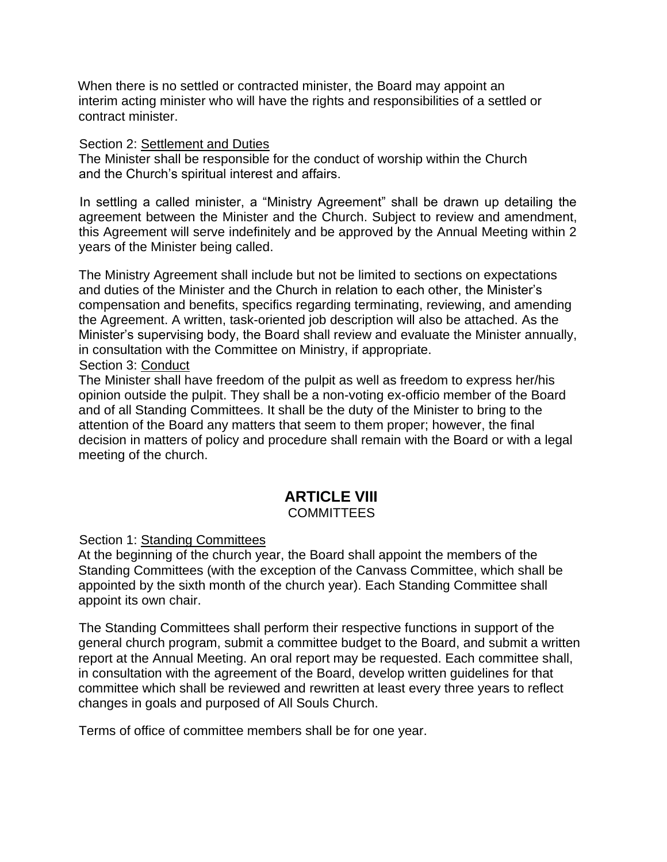When there is no settled or contracted minister, the Board may appoint an interim acting minister who will have the rights and responsibilities of a settled or contract minister.

#### Section 2: Settlement and Duties

The Minister shall be responsible for the conduct of worship within the Church and the Church's spiritual interest and affairs.

In settling a called minister, a "Ministry Agreement" shall be drawn up detailing the agreement between the Minister and the Church. Subject to review and amendment, this Agreement will serve indefinitely and be approved by the Annual Meeting within 2 years of the Minister being called.

The Ministry Agreement shall include but not be limited to sections on expectations and duties of the Minister and the Church in relation to each other, the Minister's compensation and benefits, specifics regarding terminating, reviewing, and amending the Agreement. A written, task-oriented job description will also be attached. As the Minister's supervising body, the Board shall review and evaluate the Minister annually, in consultation with the Committee on Ministry, if appropriate.

#### Section 3: Conduct

The Minister shall have freedom of the pulpit as well as freedom to express her/his opinion outside the pulpit. They shall be a non-voting ex-officio member of the Board and of all Standing Committees. It shall be the duty of the Minister to bring to the attention of the Board any matters that seem to them proper; however, the final decision in matters of policy and procedure shall remain with the Board or with a legal meeting of the church.

### **ARTICLE VIII**

#### **COMMITTEES**

Section 1: Standing Committees

At the beginning of the church year, the Board shall appoint the members of the Standing Committees (with the exception of the Canvass Committee, which shall be appointed by the sixth month of the church year). Each Standing Committee shall appoint its own chair.

The Standing Committees shall perform their respective functions in support of the general church program, submit a committee budget to the Board, and submit a written report at the Annual Meeting. An oral report may be requested. Each committee shall, in consultation with the agreement of the Board, develop written guidelines for that committee which shall be reviewed and rewritten at least every three years to reflect changes in goals and purposed of All Souls Church.

Terms of office of committee members shall be for one year.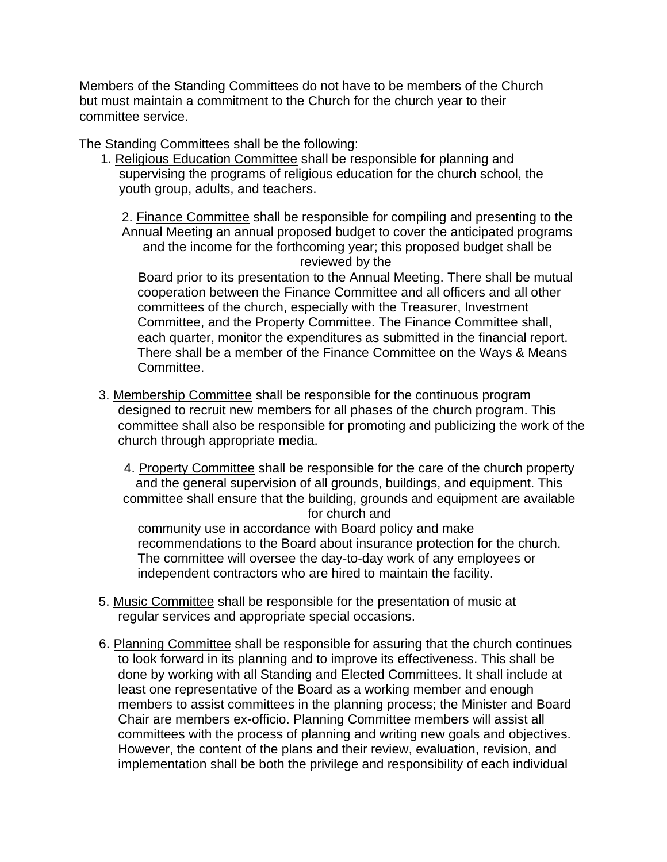Members of the Standing Committees do not have to be members of the Church but must maintain a commitment to the Church for the church year to their committee service.

The Standing Committees shall be the following:

1. Religious Education Committee shall be responsible for planning and supervising the programs of religious education for the church school, the youth group, adults, and teachers.

2. Finance Committee shall be responsible for compiling and presenting to the Annual Meeting an annual proposed budget to cover the anticipated programs and the income for the forthcoming year; this proposed budget shall be reviewed by the

Board prior to its presentation to the Annual Meeting. There shall be mutual cooperation between the Finance Committee and all officers and all other committees of the church, especially with the Treasurer, Investment Committee, and the Property Committee. The Finance Committee shall, each quarter, monitor the expenditures as submitted in the financial report. There shall be a member of the Finance Committee on the Ways & Means Committee.

3. Membership Committee shall be responsible for the continuous program designed to recruit new members for all phases of the church program. This committee shall also be responsible for promoting and publicizing the work of the church through appropriate media.

4. Property Committee shall be responsible for the care of the church property and the general supervision of all grounds, buildings, and equipment. This committee shall ensure that the building, grounds and equipment are available for church and

community use in accordance with Board policy and make recommendations to the Board about insurance protection for the church. The committee will oversee the day-to-day work of any employees or independent contractors who are hired to maintain the facility.

- 5. Music Committee shall be responsible for the presentation of music at regular services and appropriate special occasions.
- 6. Planning Committee shall be responsible for assuring that the church continues to look forward in its planning and to improve its effectiveness. This shall be done by working with all Standing and Elected Committees. It shall include at least one representative of the Board as a working member and enough members to assist committees in the planning process; the Minister and Board Chair are members ex-officio. Planning Committee members will assist all committees with the process of planning and writing new goals and objectives. However, the content of the plans and their review, evaluation, revision, and implementation shall be both the privilege and responsibility of each individual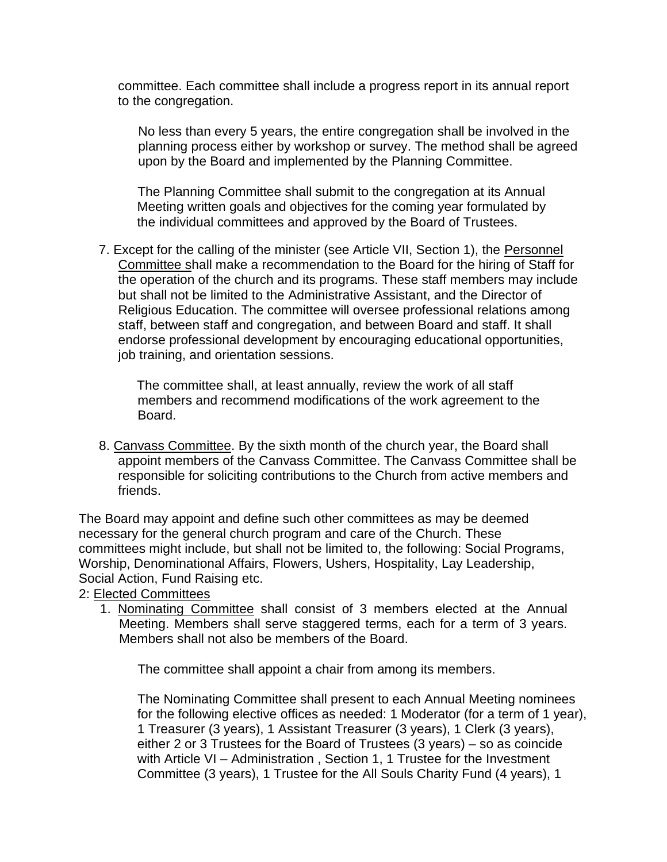committee. Each committee shall include a progress report in its annual report to the congregation.

No less than every 5 years, the entire congregation shall be involved in the planning process either by workshop or survey. The method shall be agreed upon by the Board and implemented by the Planning Committee.

The Planning Committee shall submit to the congregation at its Annual Meeting written goals and objectives for the coming year formulated by the individual committees and approved by the Board of Trustees.

7. Except for the calling of the minister (see Article VII, Section 1), the Personnel Committee shall make a recommendation to the Board for the hiring of Staff for the operation of the church and its programs. These staff members may include but shall not be limited to the Administrative Assistant, and the Director of Religious Education. The committee will oversee professional relations among staff, between staff and congregation, and between Board and staff. It shall endorse professional development by encouraging educational opportunities, job training, and orientation sessions.

The committee shall, at least annually, review the work of all staff members and recommend modifications of the work agreement to the Board.

8. Canvass Committee. By the sixth month of the church year, the Board shall appoint members of the Canvass Committee. The Canvass Committee shall be responsible for soliciting contributions to the Church from active members and friends.

The Board may appoint and define such other committees as may be deemed necessary for the general church program and care of the Church. These committees might include, but shall not be limited to, the following: Social Programs, Worship, Denominational Affairs, Flowers, Ushers, Hospitality, Lay Leadership, Social Action, Fund Raising etc.

2: Elected Committees

1. Nominating Committee shall consist of 3 members elected at the Annual Meeting. Members shall serve staggered terms, each for a term of 3 years. Members shall not also be members of the Board.

The committee shall appoint a chair from among its members.

The Nominating Committee shall present to each Annual Meeting nominees for the following elective offices as needed: 1 Moderator (for a term of 1 year), 1 Treasurer (3 years), 1 Assistant Treasurer (3 years), 1 Clerk (3 years), either 2 or 3 Trustees for the Board of Trustees (3 years) – so as coincide with Article VI – Administration , Section 1, 1 Trustee for the Investment Committee (3 years), 1 Trustee for the All Souls Charity Fund (4 years), 1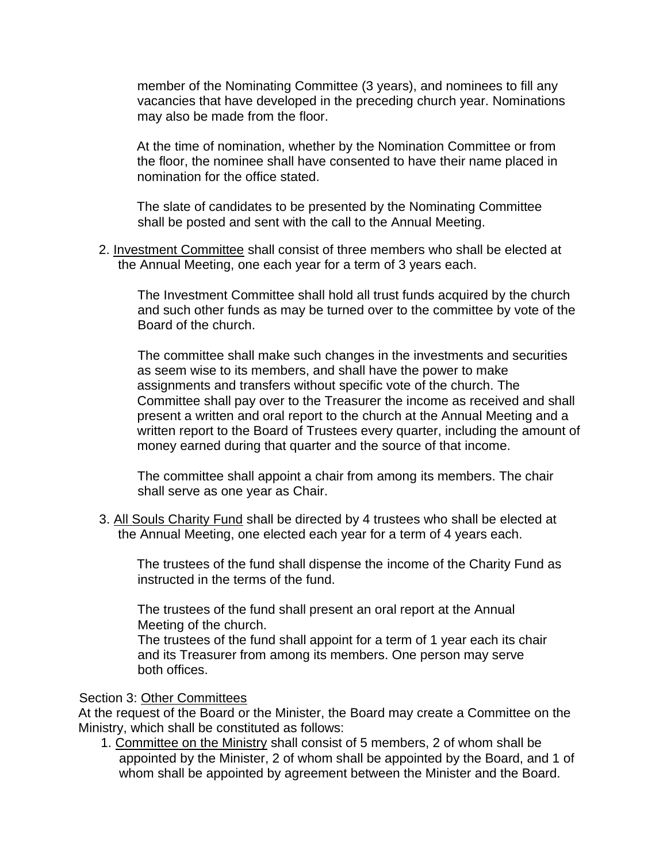member of the Nominating Committee (3 years), and nominees to fill any vacancies that have developed in the preceding church year. Nominations may also be made from the floor.

At the time of nomination, whether by the Nomination Committee or from the floor, the nominee shall have consented to have their name placed in nomination for the office stated.

The slate of candidates to be presented by the Nominating Committee shall be posted and sent with the call to the Annual Meeting.

2. Investment Committee shall consist of three members who shall be elected at the Annual Meeting, one each year for a term of 3 years each.

The Investment Committee shall hold all trust funds acquired by the church and such other funds as may be turned over to the committee by vote of the Board of the church.

The committee shall make such changes in the investments and securities as seem wise to its members, and shall have the power to make assignments and transfers without specific vote of the church. The Committee shall pay over to the Treasurer the income as received and shall present a written and oral report to the church at the Annual Meeting and a written report to the Board of Trustees every quarter, including the amount of money earned during that quarter and the source of that income.

The committee shall appoint a chair from among its members. The chair shall serve as one year as Chair.

3. All Souls Charity Fund shall be directed by 4 trustees who shall be elected at the Annual Meeting, one elected each year for a term of 4 years each.

The trustees of the fund shall dispense the income of the Charity Fund as instructed in the terms of the fund.

The trustees of the fund shall present an oral report at the Annual Meeting of the church.

The trustees of the fund shall appoint for a term of 1 year each its chair and its Treasurer from among its members. One person may serve both offices.

#### Section 3: Other Committees

At the request of the Board or the Minister, the Board may create a Committee on the Ministry, which shall be constituted as follows:

1. Committee on the Ministry shall consist of 5 members, 2 of whom shall be appointed by the Minister, 2 of whom shall be appointed by the Board, and 1 of whom shall be appointed by agreement between the Minister and the Board.